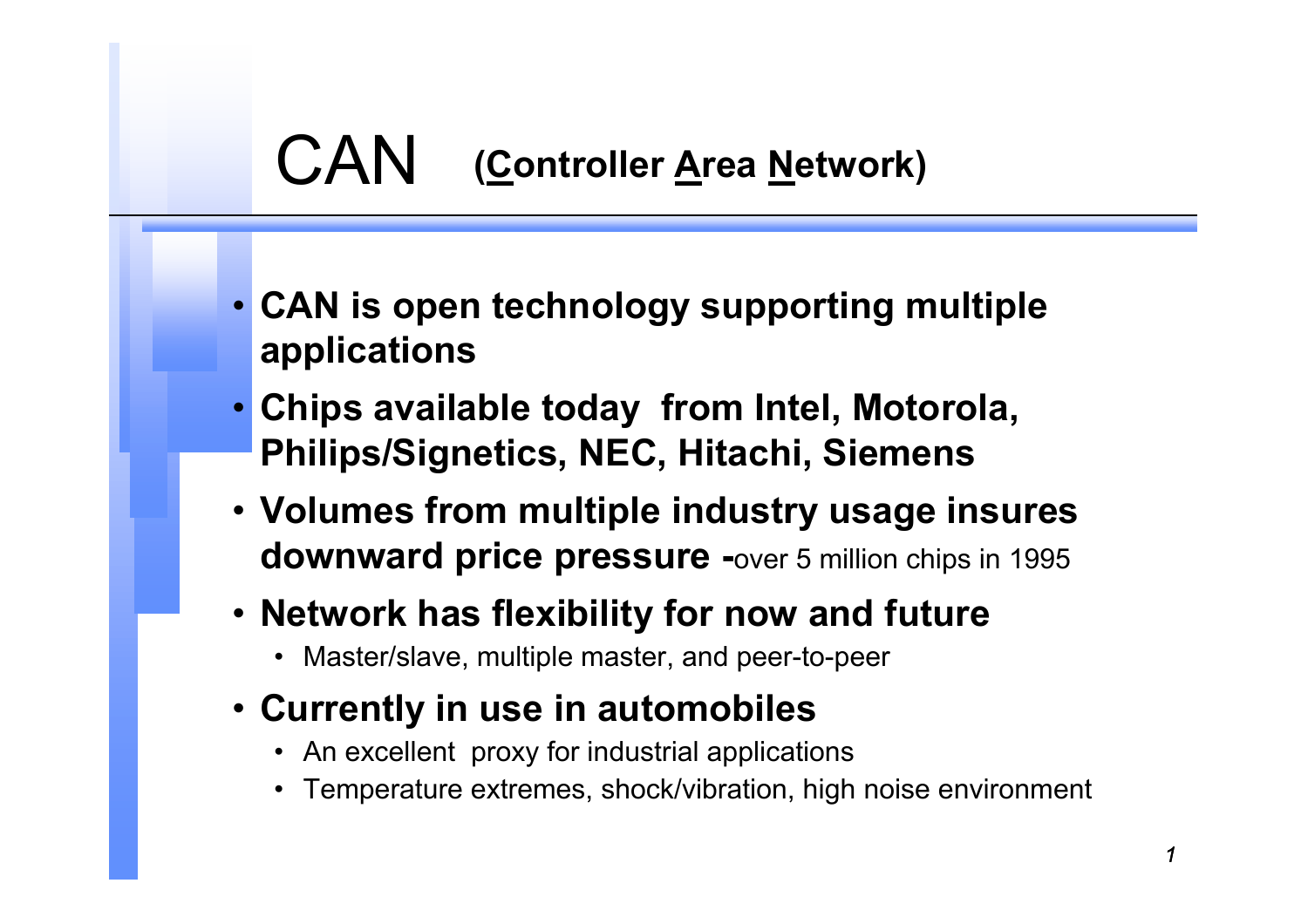#### CAN **(Controller Area Network)**

- **CAN is open technology supporting multiple applications**
- **Chips available today from Intel, Motorola, Philips/Signetics, NEC, Hitachi, Siemens**
- **Volumes from multiple industry usage insures downward price pressure -**over 5 million chips in 1995
- **Network has flexibility for now and future** 
	- Master/slave, multiple master, and peer-to-peer
- **Currently in use in automobiles** 
	- An excellent proxy for industrial applications
	- Temperature extremes, shock/vibration, high noise environment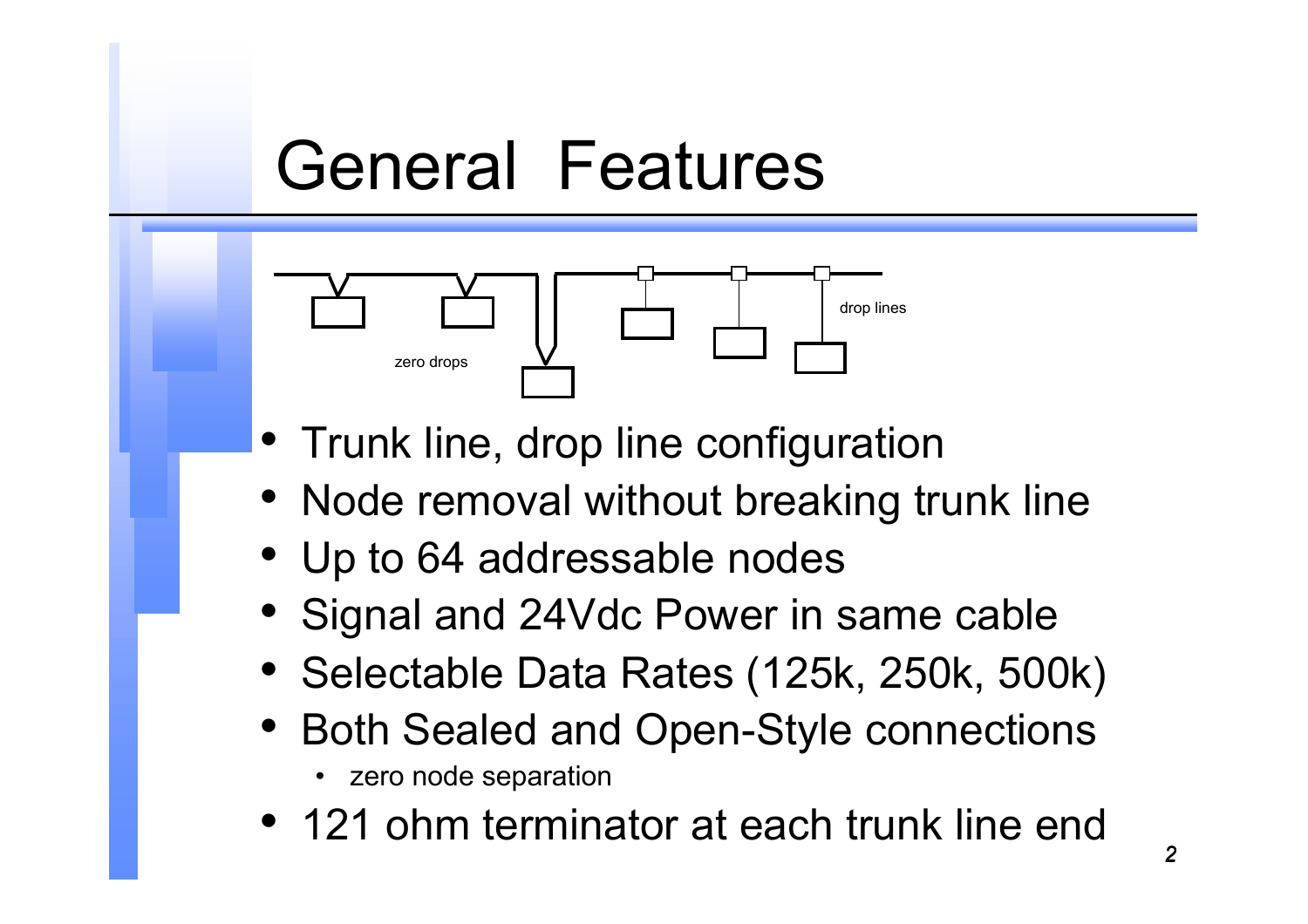#### General Features



- Trunk line, drop line configuration
- Node removal without breaking trunk line
- Up to 64 addressable nodes
- Signal and 24Vdc Power in same cable
- Selectable Data Rates (125k, 250k, 500k)
- • Both Sealed and Open-Style connections
	- zero node separation
- 121 ohm terminator at each trunk line end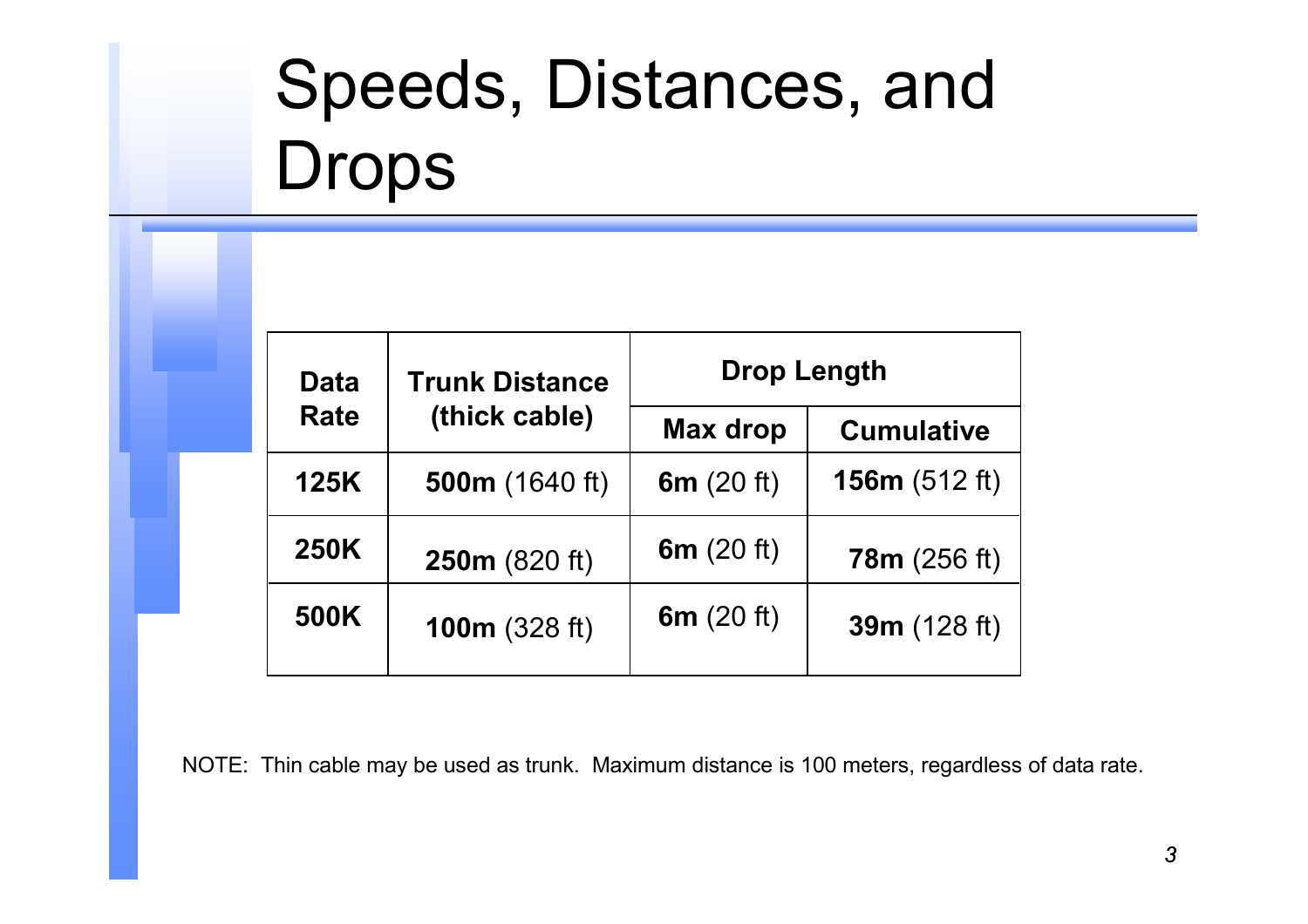# Speeds, Distances, and Drops

| <b>Data</b><br><b>Rate</b> | <b>Trunk Distance</b><br>(thick cable) | <b>Drop Length</b> |                     |
|----------------------------|----------------------------------------|--------------------|---------------------|
|                            |                                        | <b>Max drop</b>    | <b>Cumulative</b>   |
| <b>125K</b>                | <b>500m</b> (1640 ft)                  | 6 $m(20 ft)$       | 156 $m(512 ft)$     |
| <b>250K</b>                | 250m (820 ft)                          | 6 $m(20 ft)$       | <b>78m</b> (256 ft) |
| 500K                       | 100 $m(328 ft)$                        | 6 $m(20 ft)$       | 39m (128 ft)        |

NOTE: Thin cable may be used as trunk. Maximum distance is 100 meters, regardless of data rate.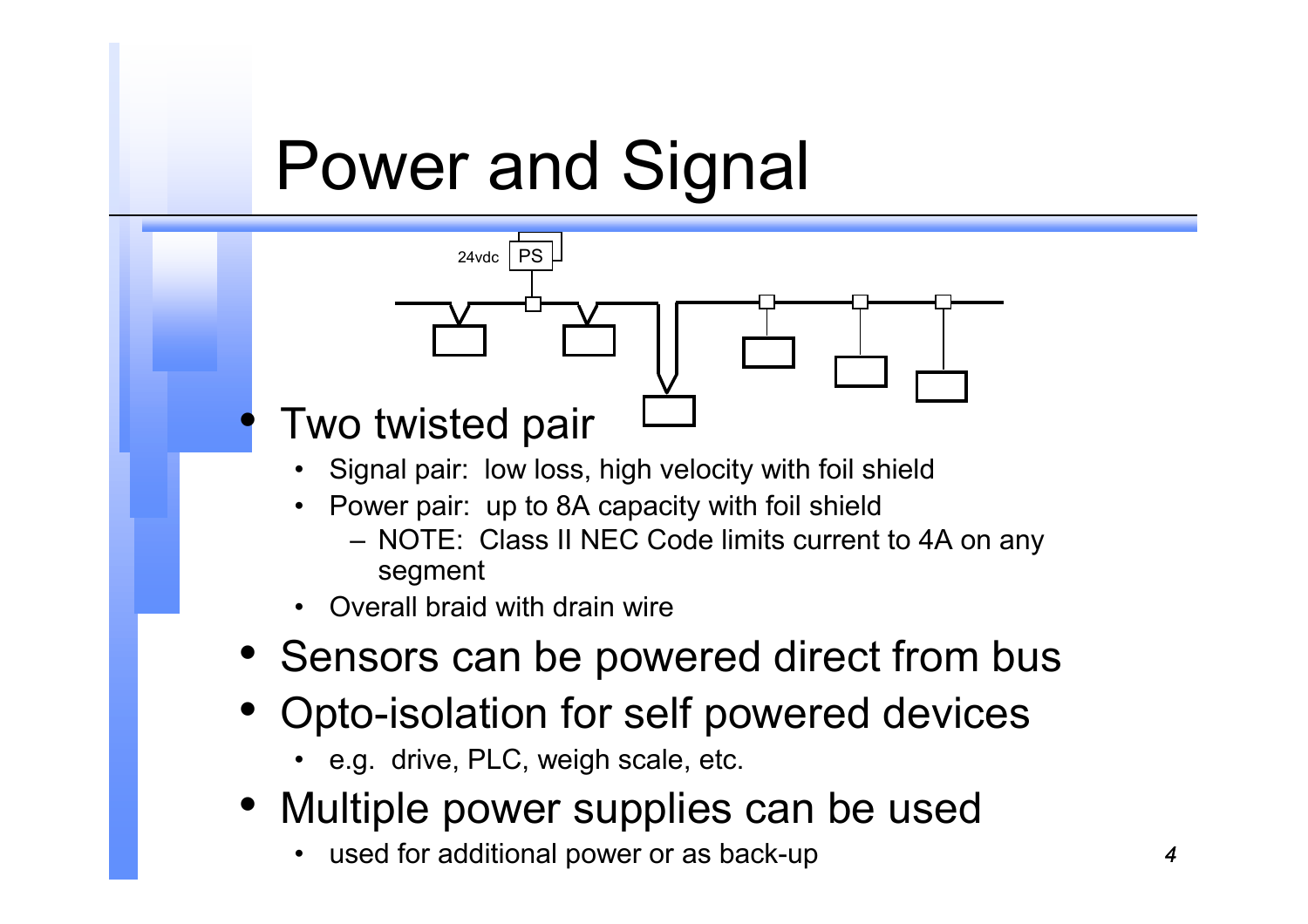## Power and Signal



- • Power pair: up to 8A capacity with foil shield
	- NOTE: Class II NEC Code limits current to 4A on any segment
- •Overall braid with drain wire
- Sensors can be powered direct from bus
- • Opto-isolation for self powered devices
	- e.g. drive, PLC, weigh scale, etc.
- Multiple power supplies can be used
	- •used for additional power or as back-up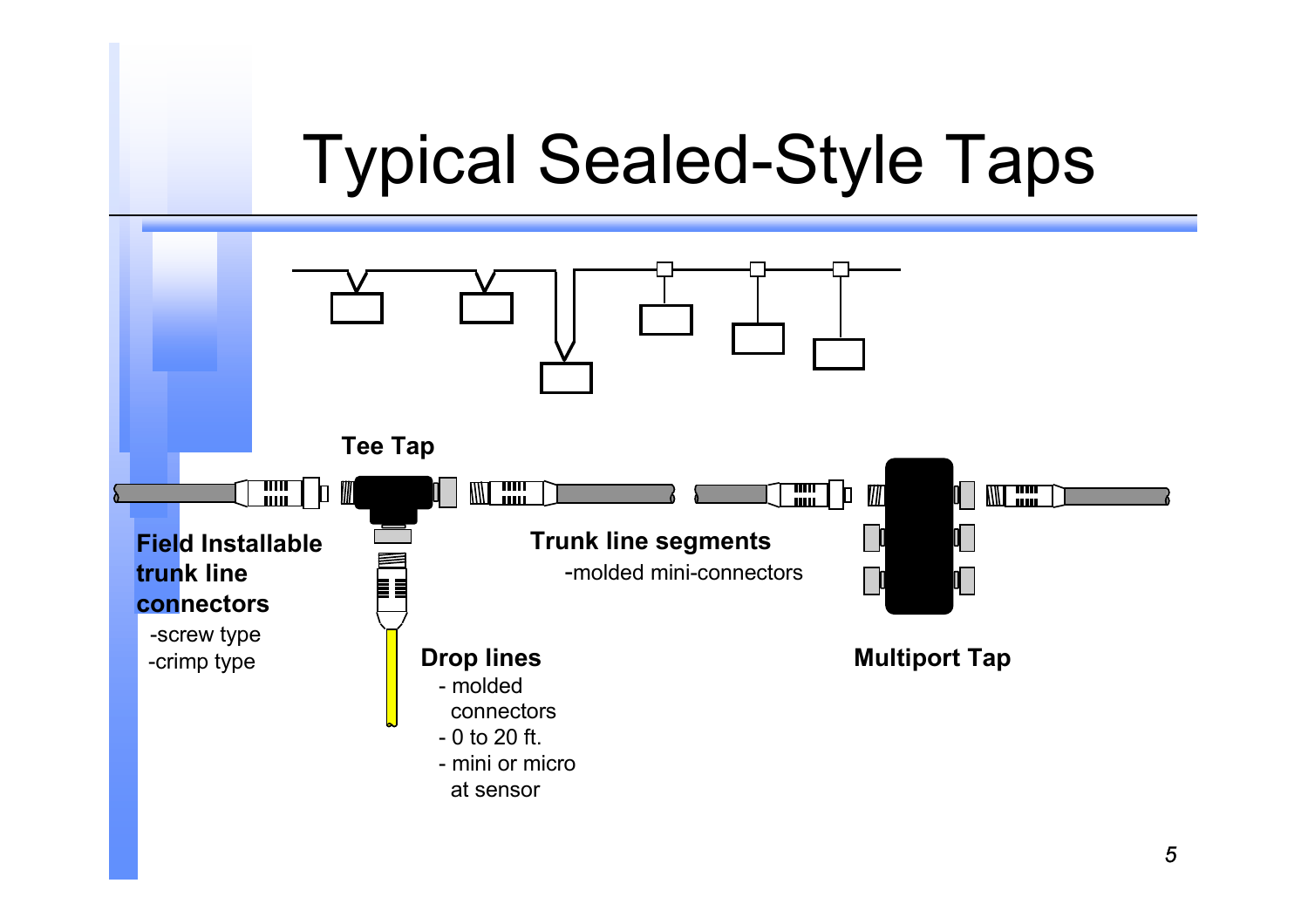## Typical Sealed-Style Taps

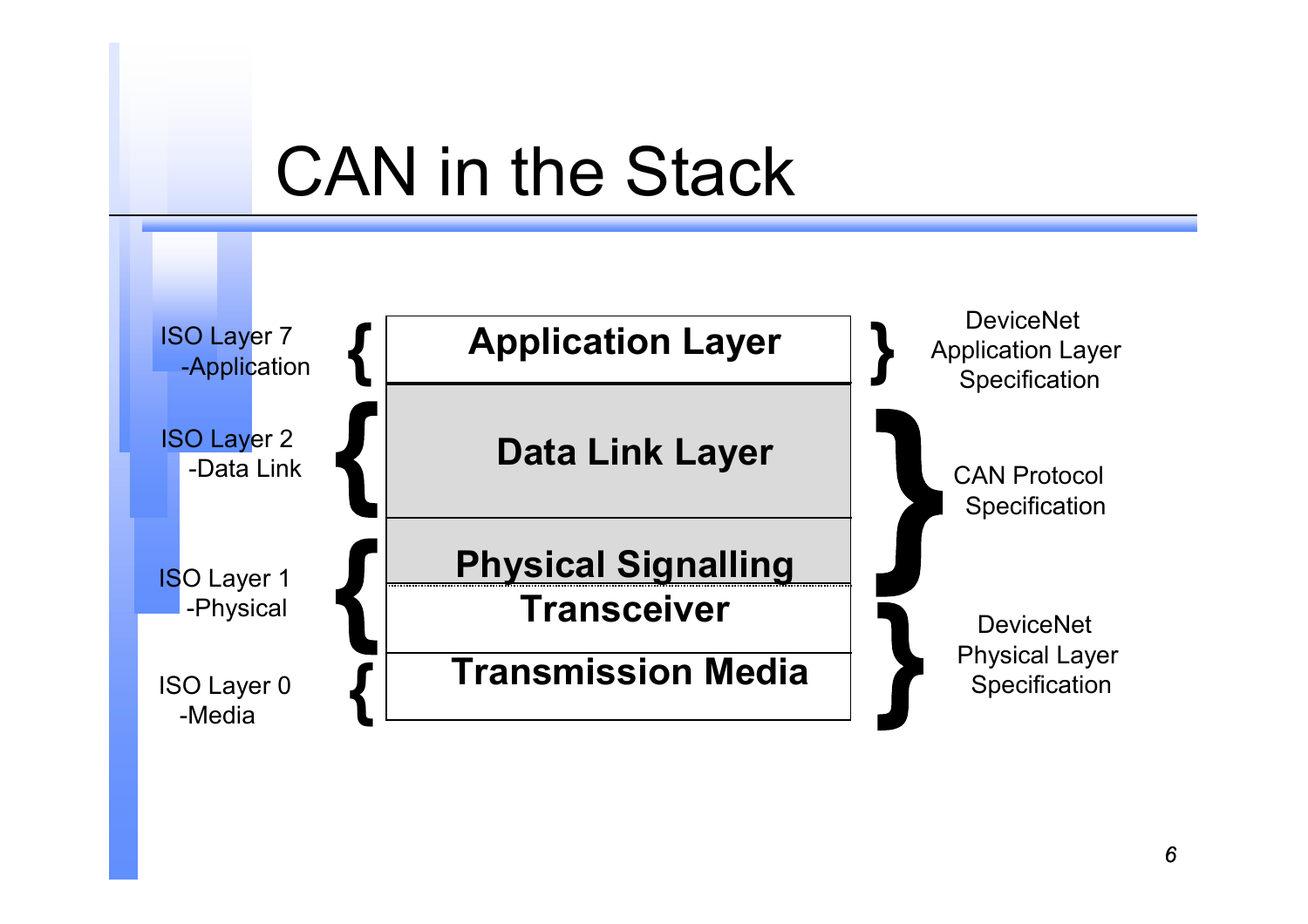### CAN in the Stack

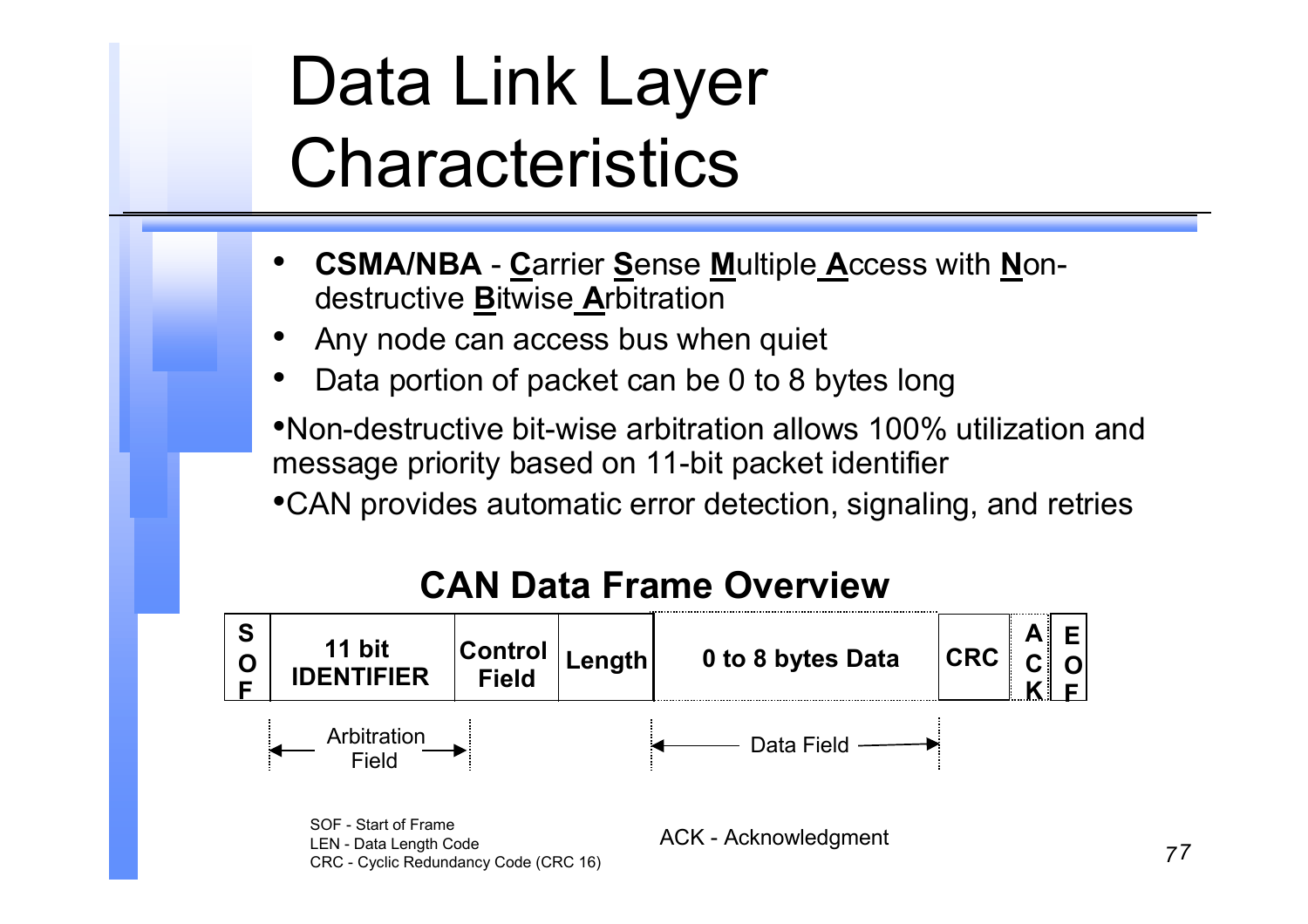# Data Link Layer **Characteristics**

- • **CSMA/NBA** - **C**arrier **S**ense **M**ultiple **A**ccess with **N**ondestructive **B**itwise **A**rbitration
- •Any node can access bus when quiet
- •Data portion of packet can be 0 to 8 bytes long

•Non-destructive bit-wise arbitration allows 100% utilization and message priority based on 11-bit packet identifier

•CAN provides automatic error detection, signaling, and retries

#### **CAN Data Frame Overview**



CRC - Cyclic Redundancy Code (CRC 16)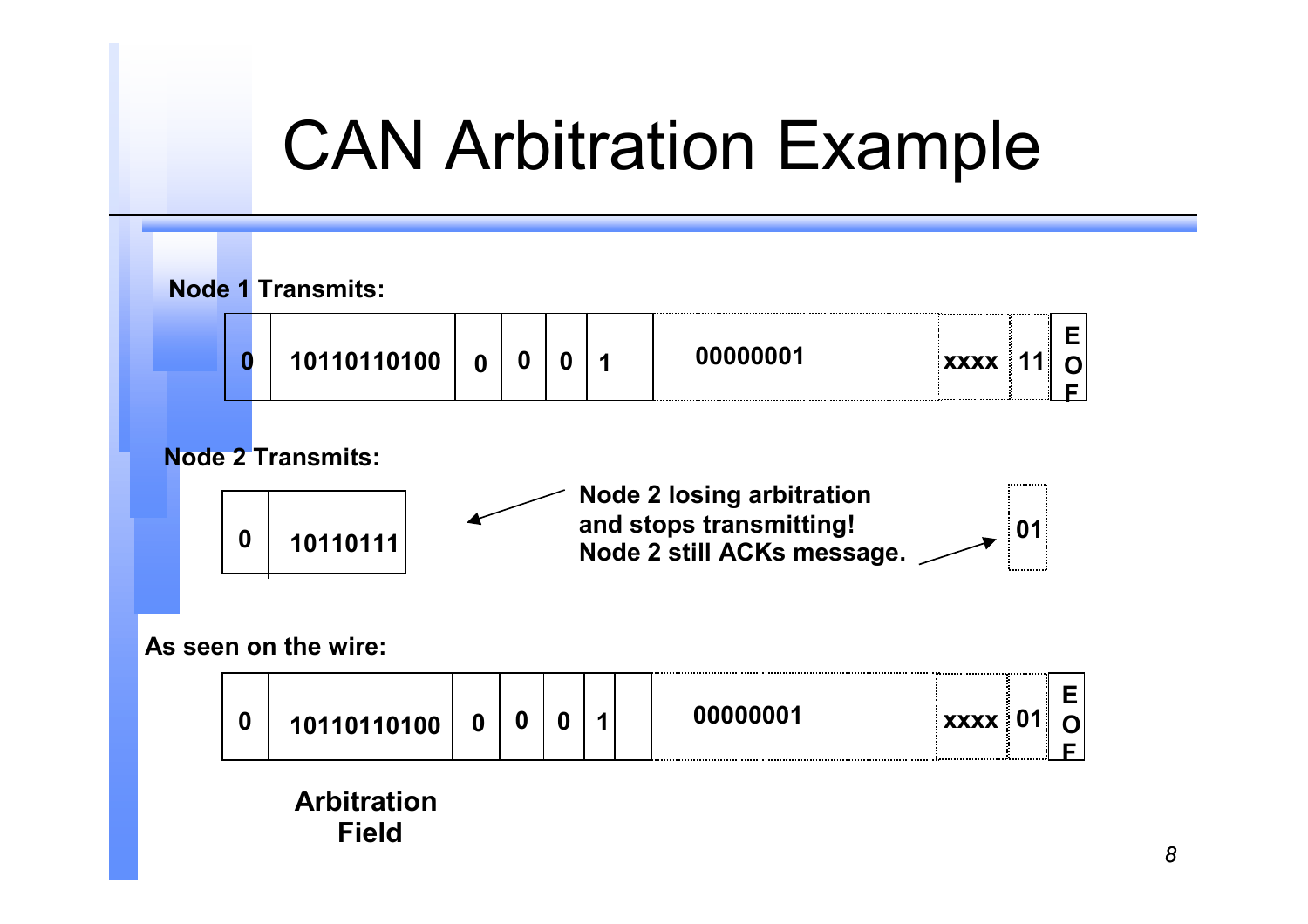## CAN Arbitration Example

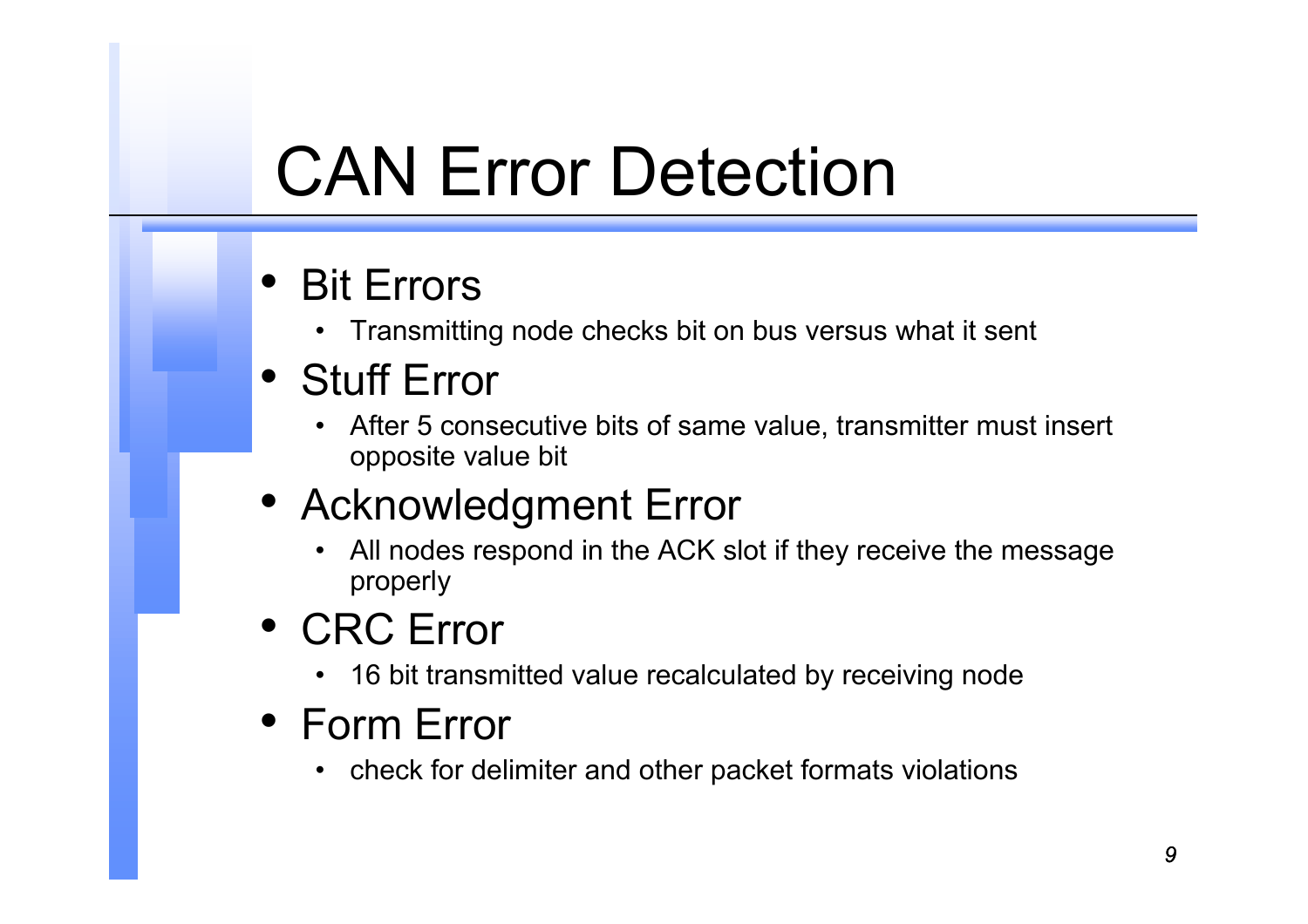# CAN Error Detection

#### •Bit Errors

• Transmitting node checks bit on bus versus what it sent

#### • Stuff Error

• After 5 consecutive bits of same value, transmitter must insert opposite value bit

#### • Acknowledgment Error

- • All nodes respond in the ACK slot if they receive the message properly
- CRC Error
	- 16 bit transmitted value recalculated by receiving node
- Form Error
	- check for delimiter and other packet formats violations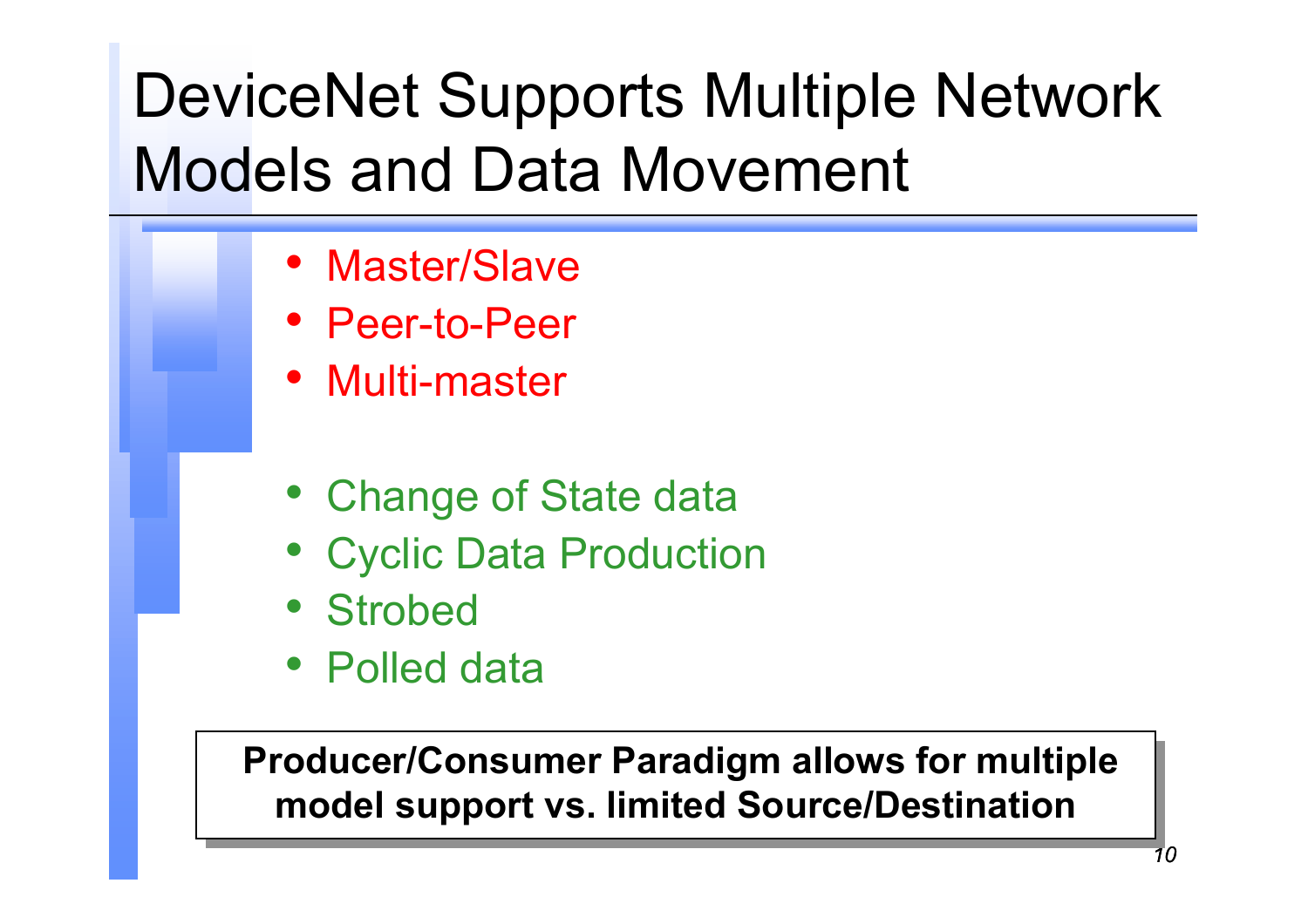## DeviceNet Supports Multiple Network Models and Data Movement

- Master/Slave
- Peer-to-Peer
- Multi-master
- Change of State data
- Cyclic Data Production
- Strobed
- Polled data

**Producer/Consumer Paradigm allows for multiple Producer/Consumer Paradigm allows for multiple model support vs. limited Source/Destination model support vs. limited Source/Destination**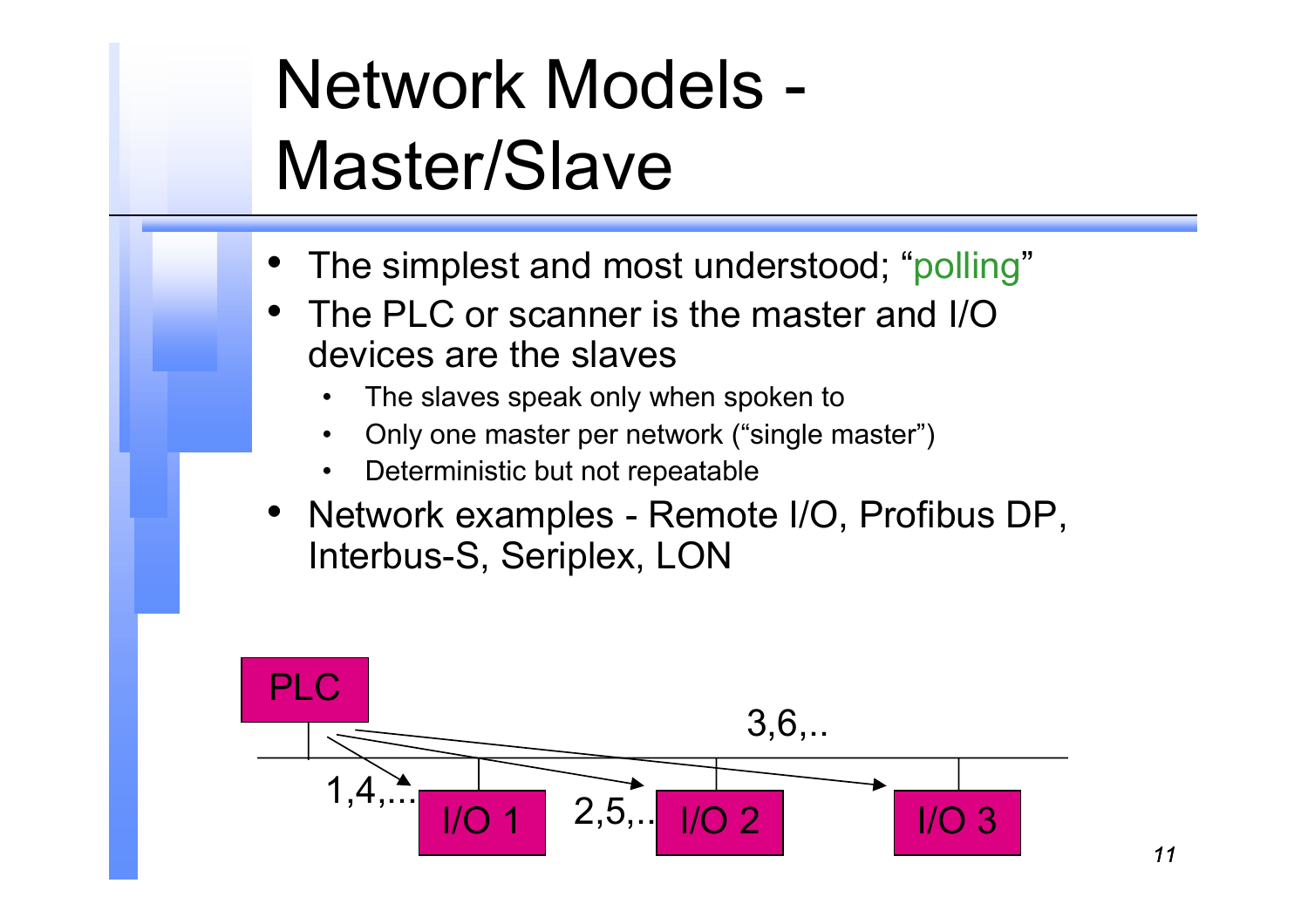# Network Models - Master/Slave

- •The simplest and most understood; "polling"
- • The PLC or scanner is the master and I/O devices are the slaves
	- •The slaves speak only when spoken to
	- •Only one master per network ("single master")
	- •Deterministic but not repeatable
- Network examples Remote I/O, Profibus DP, Interbus-S, Seriplex, LON

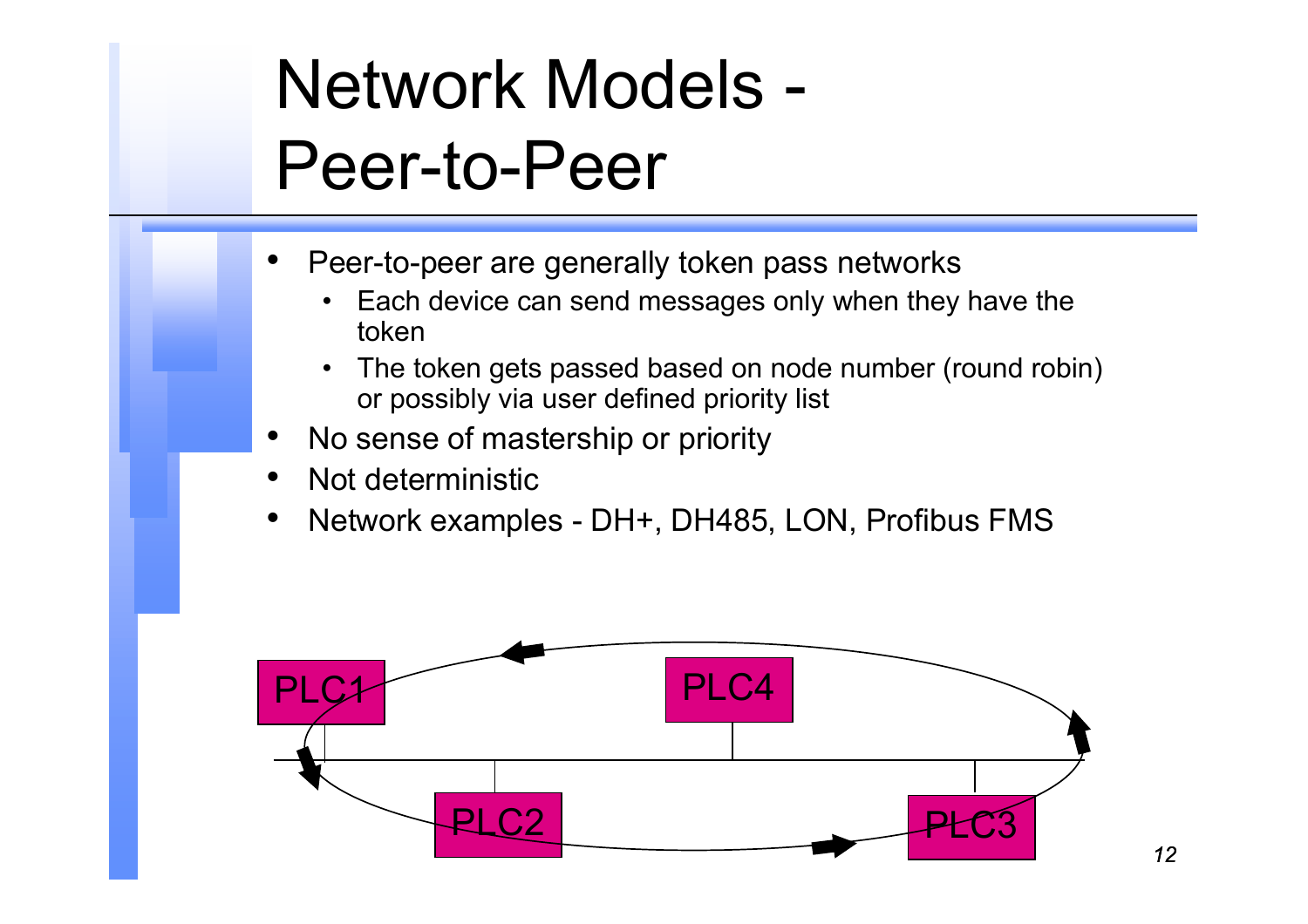# Network Models - Peer-to-Peer

- • Peer-to-peer are generally token pass networks
	- • Each device can send messages only when they have the token
	- $\bullet$  The token gets passed based on node number (round robin) or possibly via user defined priority list
- •No sense of mastership or priority
- •Not deterministic
- •Network examples - DH+, DH485, LON, Profibus FMS

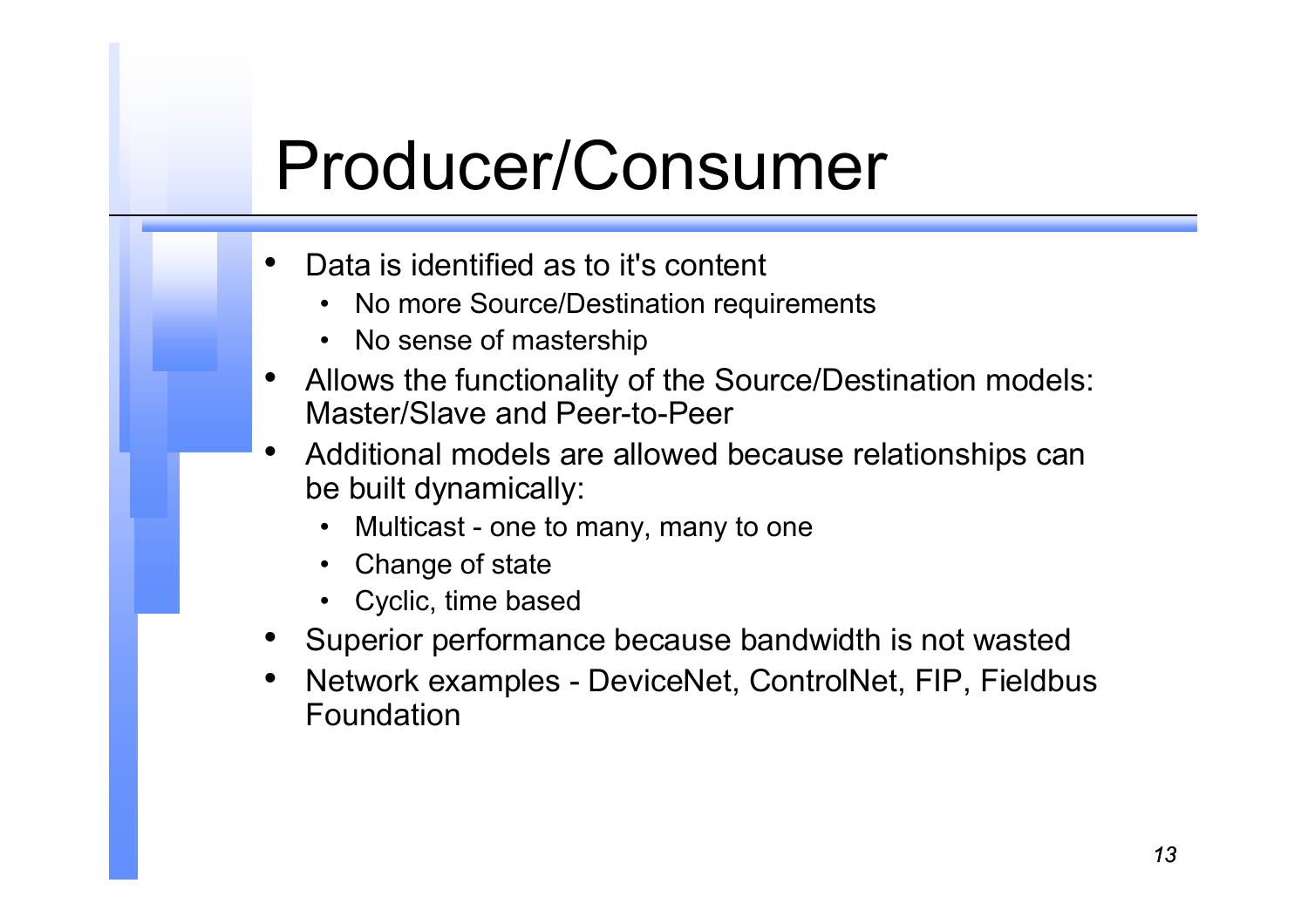### Producer/Consumer

- • Data is identified as to it's content
	- No more Source/Destination requirements
	- No sense of mastership
- • Allows the functionality of the Source/Destination models: Master/Slave and Peer-to-Peer
- • Additional models are allowed because relationships can be built dynamically:
	- •Multicast - one to many, many to one
	- Change of state
	- Cyclic, time based
- Superior performance because bandwidth is not wasted
- • Network examples - DeviceNet, ControlNet, FIP, Fieldbus Foundation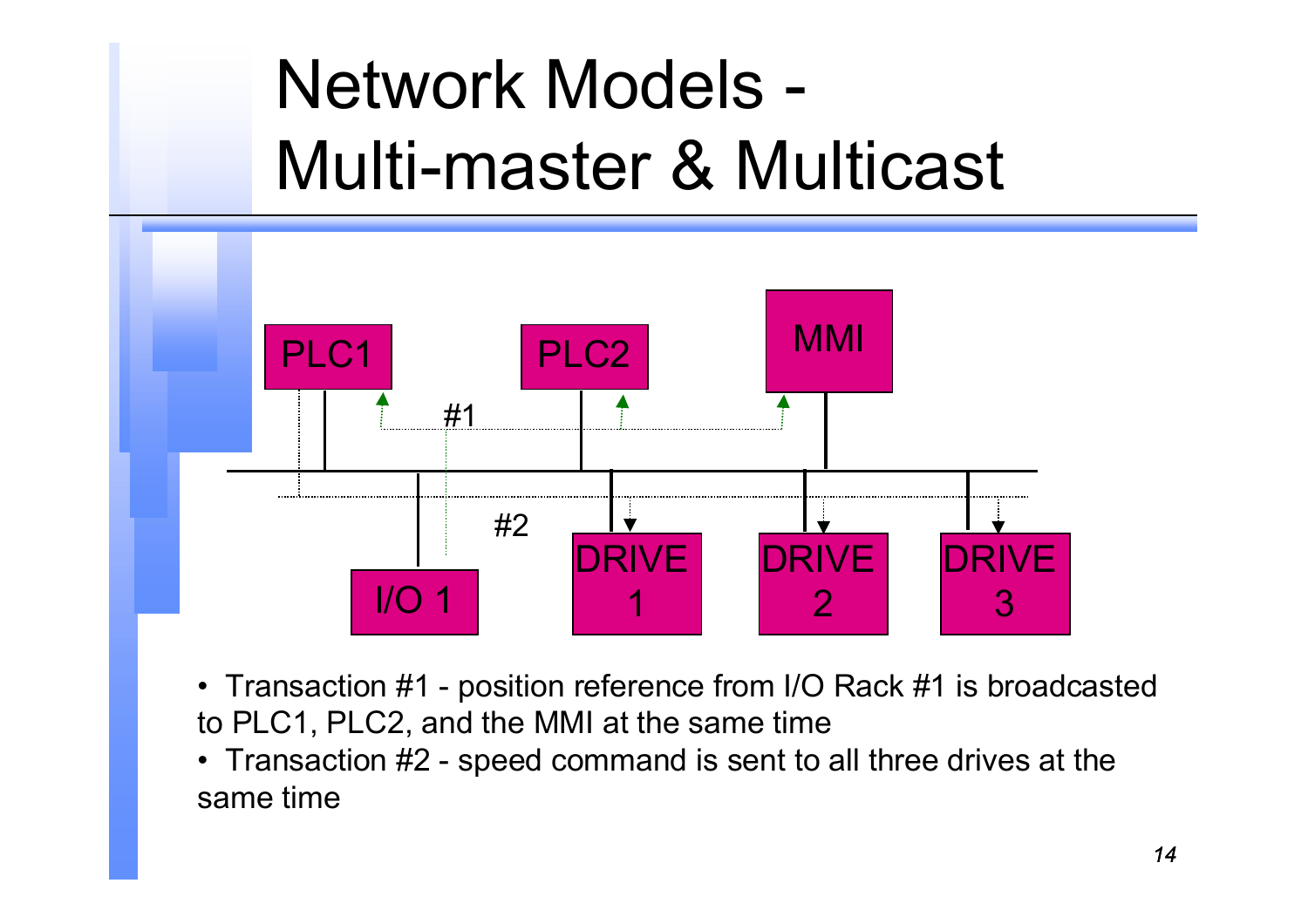# Network Models - Multi-master & Multicast



- Transaction #1 position reference from I/O Rack #1 is broadcasted to PLC1, PLC2, and the MMI at the same time
- Transaction #2 speed command is sent to all three drives at the same time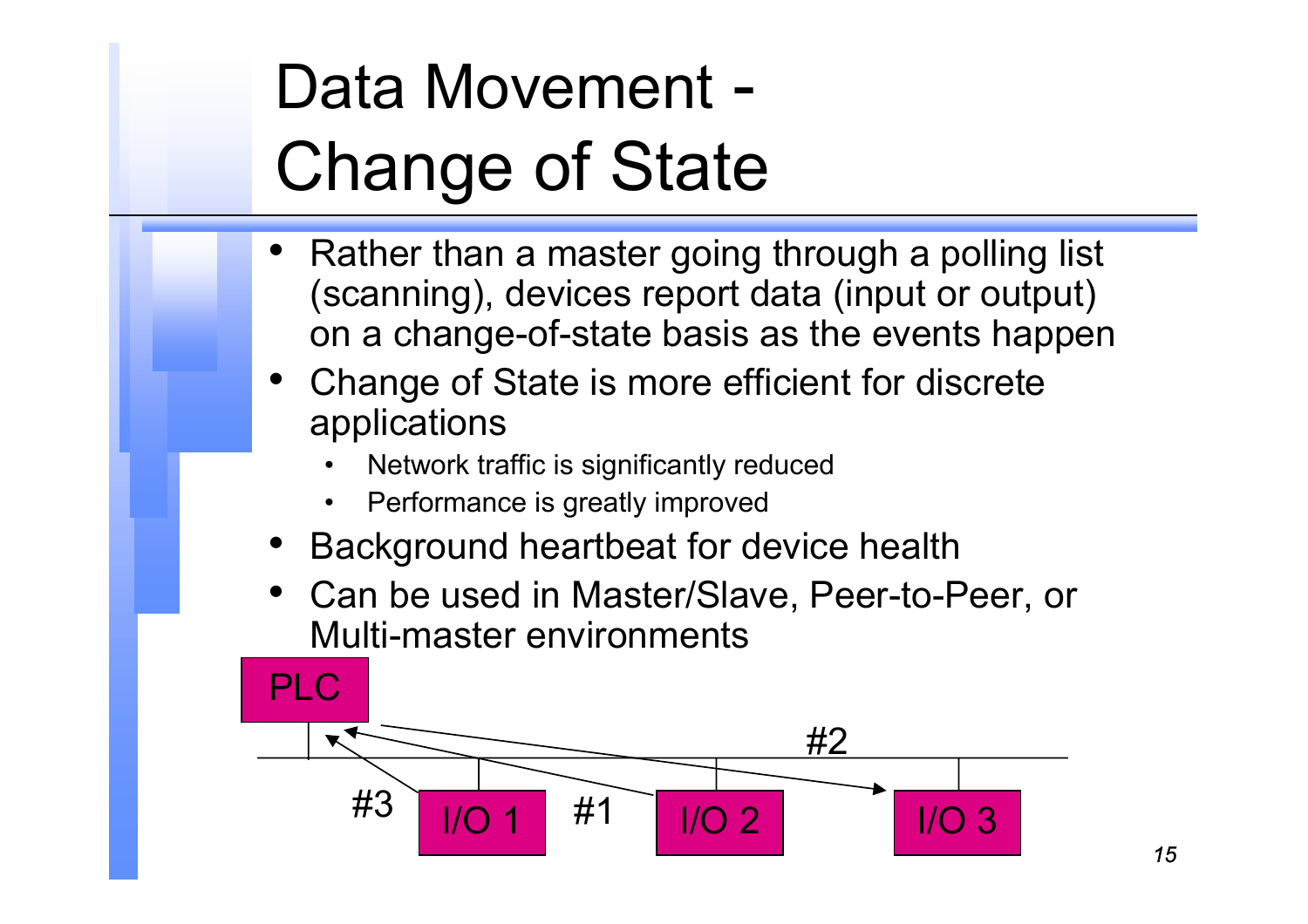# Data Movement - Change of State

- • Rather than a master going through a polling list (scanning), devices report data (input or output) on a change-of-state basis as the events happen
- • Change of State is more efficient for discrete applications
	- •Network traffic is significantly reduced
	- •Performance is greatly improved
- •Background heartbeat for device health
- Can be used in Master/Slave, Peer-to-Peer, or Multi-master environments

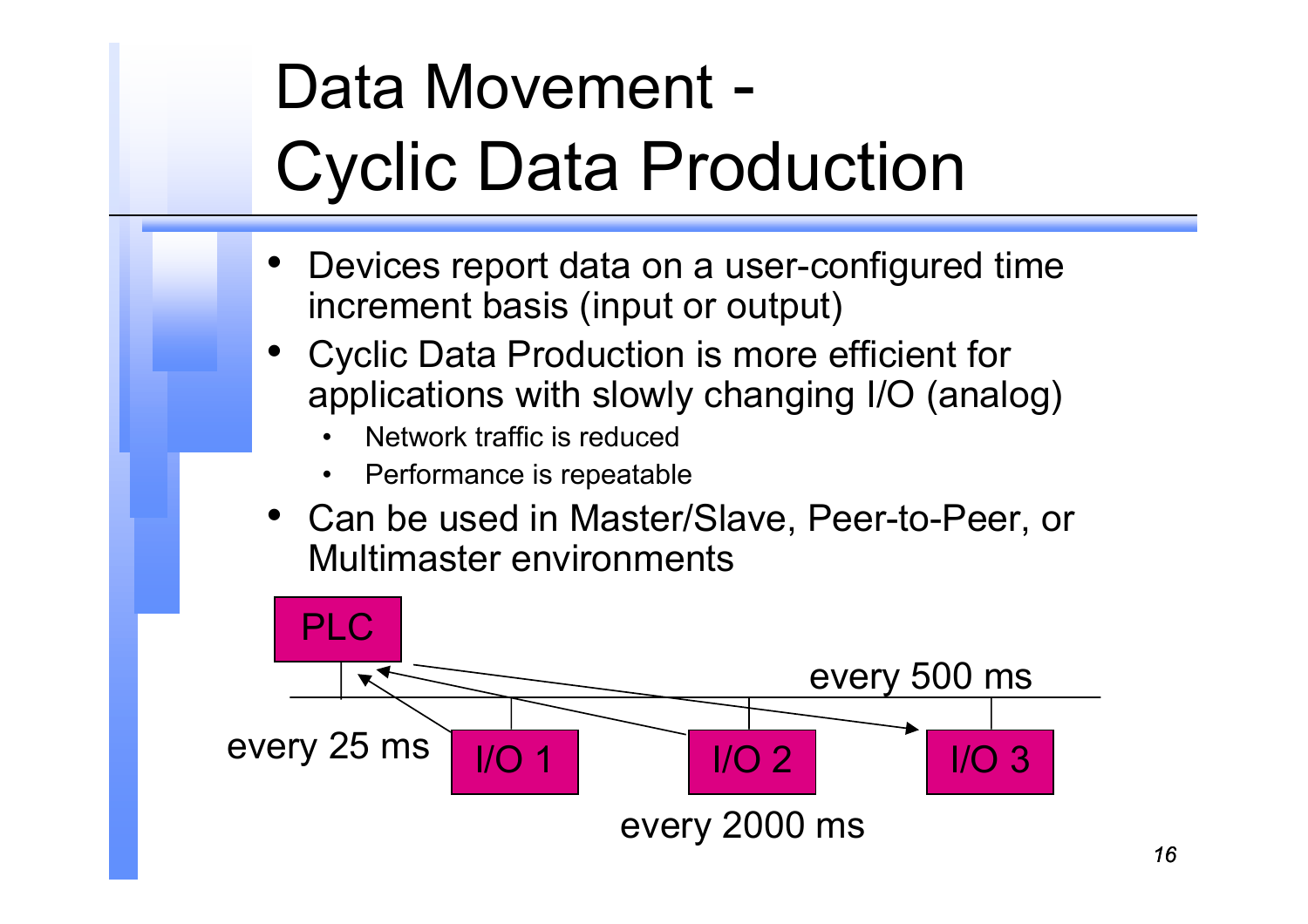# Data Movement - Cyclic Data Production

- • Devices report data on a user-configured time increment basis (input or output)
- Cyclic Data Production is more efficient for applications with slowly changing I/O (analog)
	- •Network traffic is reduced
	- $\bullet$ Performance is repeatable
- Can be used in Master/Slave, Peer-to-Peer, or Multimaster environments

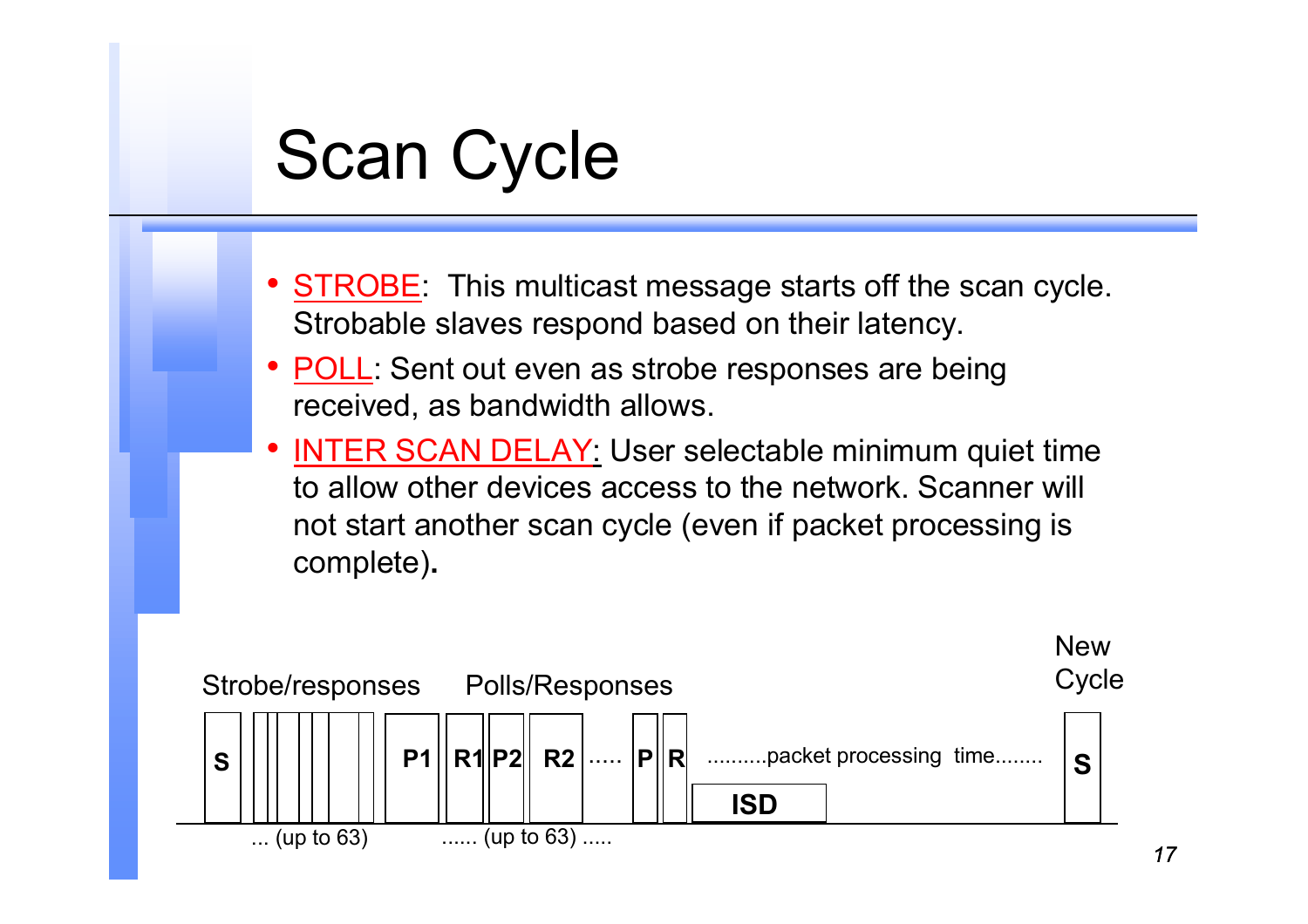### Scan Cycle

- <u>STROBE</u>: This multicast message starts off the scan cycle. Strobable slaves respond based on their latency.
- • POLL: Sent out even as strobe responses are being received, as bandwidth allows.
- • INTER SCAN DELAY: User selectable minimum quiet time to allow other devices access to the network. Scanner will not start another scan cycle (even if packet processing is complete)**.**

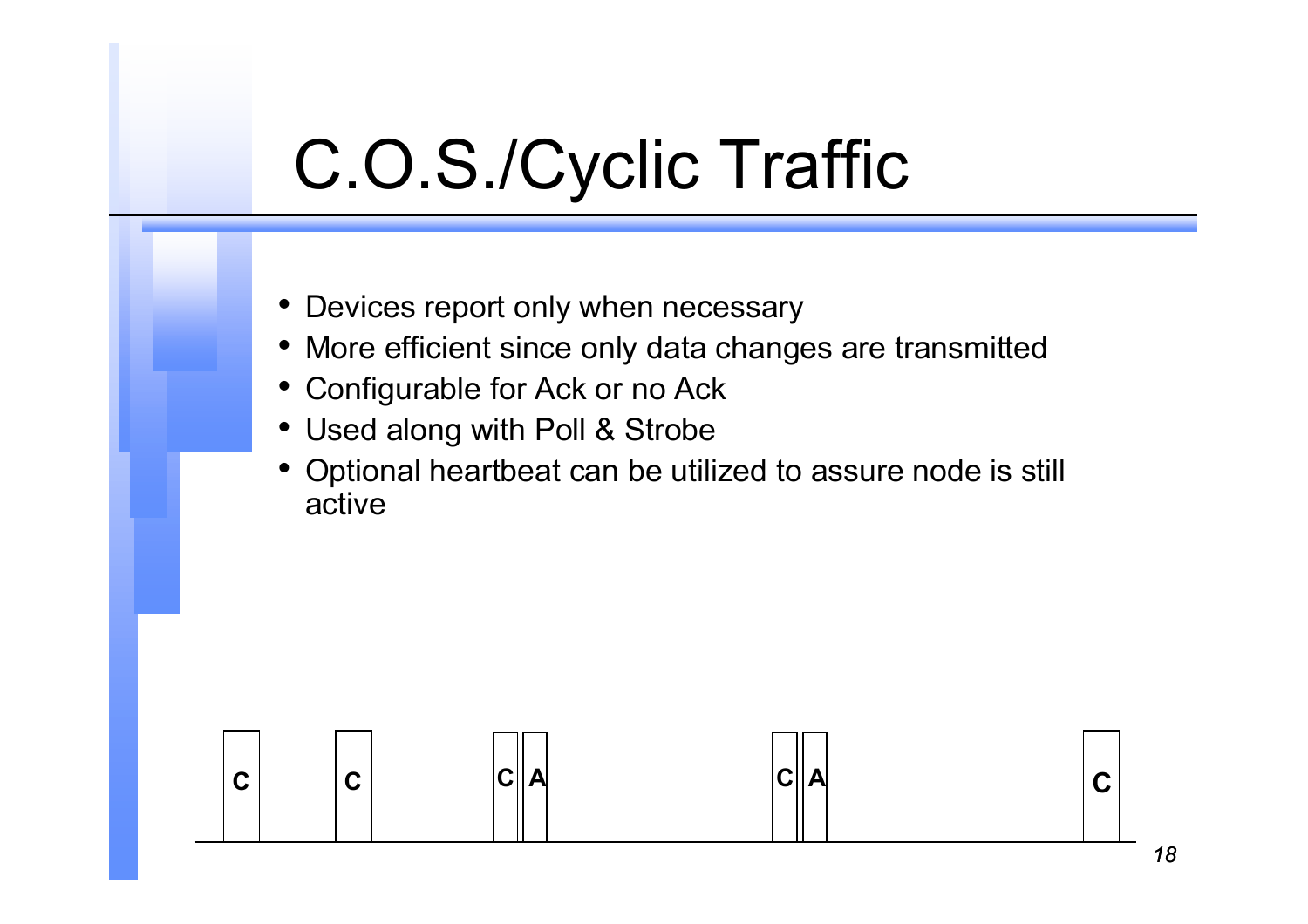## C.O.S./Cyclic Traffic

- Devices report only when necessary
- More efficient since only data changes are transmitted
- •Configurable for Ack or no Ack
- Used along with Poll & Strobe
- • Optional heartbeat can be utilized to assure node is still active

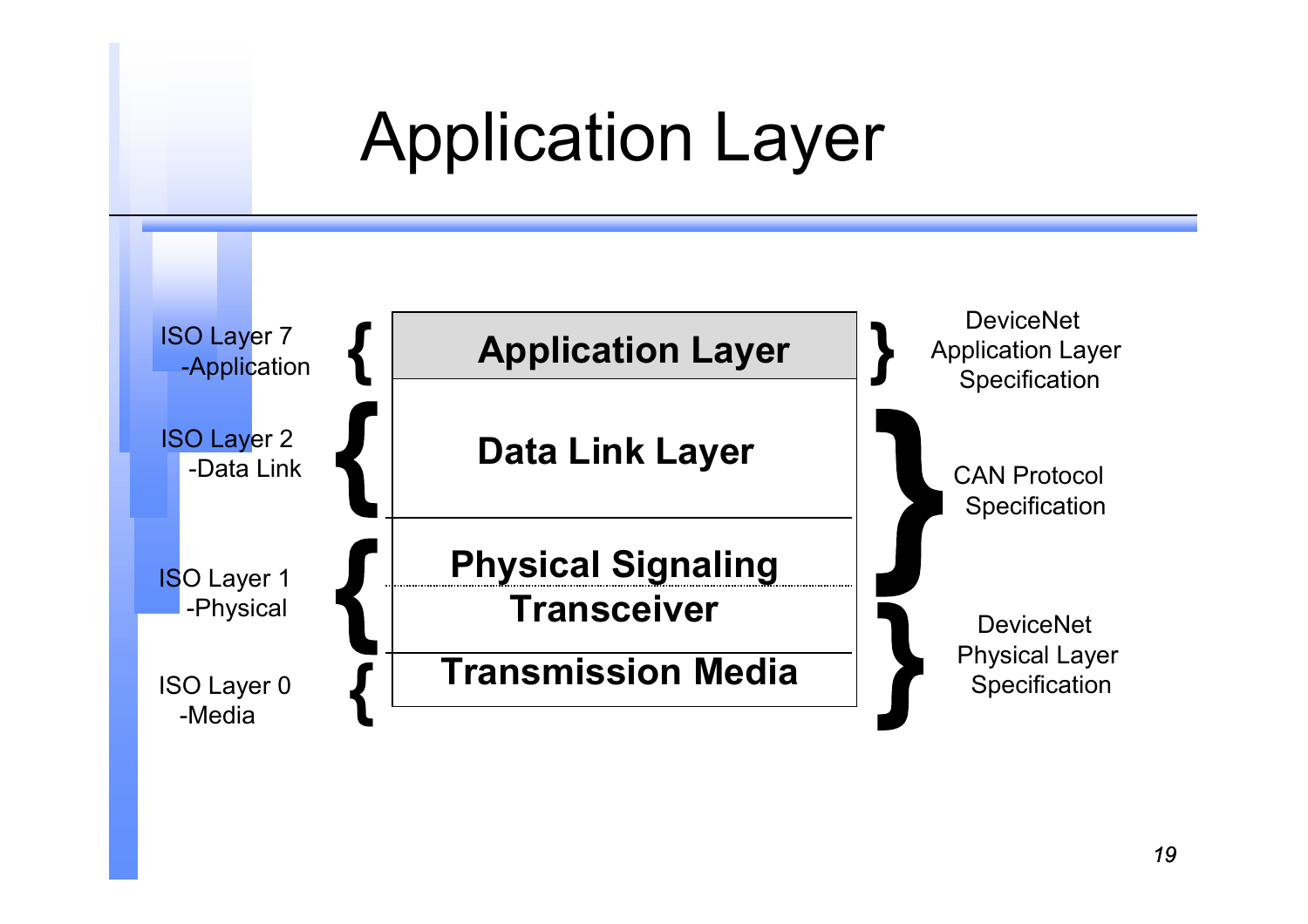## Application Layer

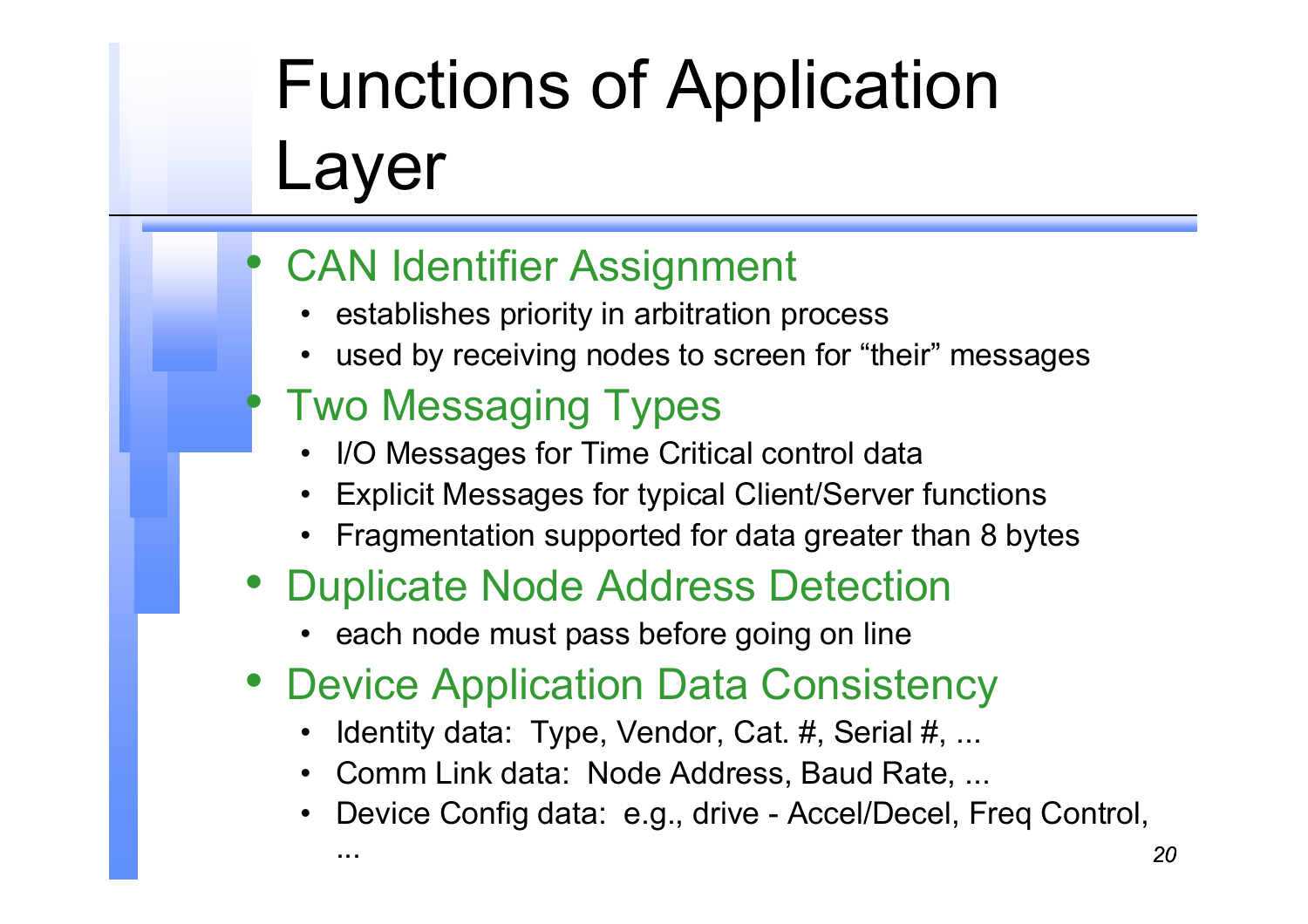# Functions of Application Layer

#### •CAN Identifier Assignment

- establishes priority in arbitration process
- used by receiving nodes to screen for "their" messages

#### Two Messaging Types

 $\bullet$ 

...

- I/O Messages for Time Critical control data
- Explicit Messages for typical Client/Server functions
- Fragmentation supported for data greater than 8 bytes

#### • Duplicate Node Address Detection

- each node must pass before going on line
- Device Application Data Consistency
	- Identity data: Type, Vendor, Cat. #, Serial #, ...
	- Comm Link data: Node Address, Baud Rate, ...
	- Device Config data: e.g., drive Accel/Decel, Freq Control,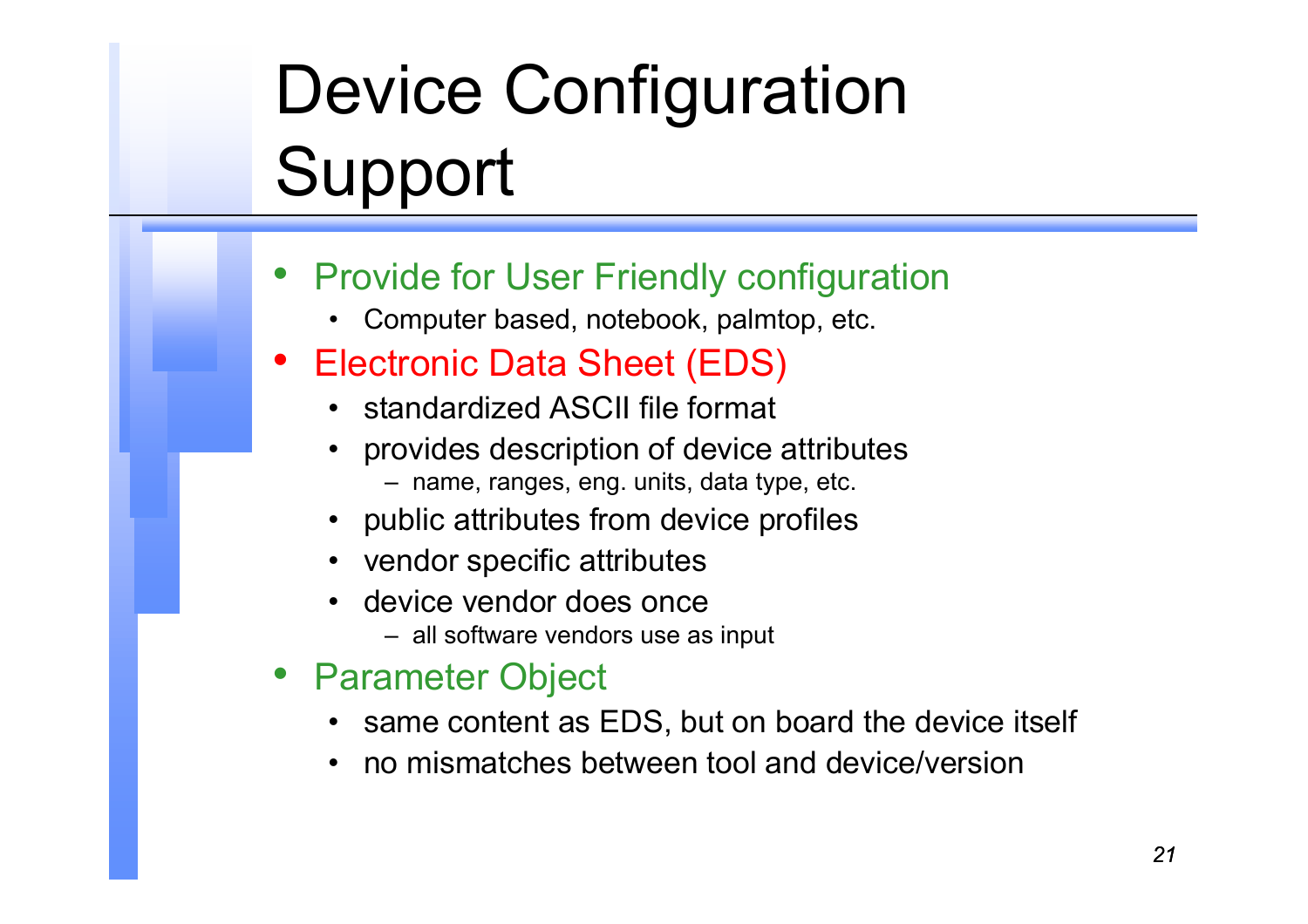# Device Configuration Support

- • Provide for User Friendly configuration
	- Computer based, notebook, palmtop, etc.

#### •Electronic Data Sheet (EDS)

- standardized ASCII file format
- provides description of device attributes
	- name, ranges, eng. units, data type, etc.
- public attributes from device profiles
- vendor specific attributes
- device vendor does once
	- all software vendors use as input
- Parameter Object
	- same content as EDS, but on board the device itself
	- no mismatches between tool and device/version